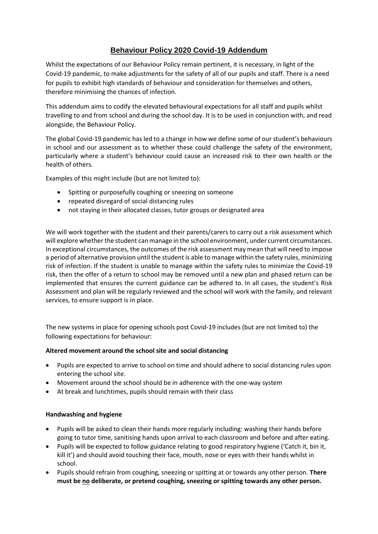# **Behaviour Policy 2020 Covid-19 Addendum**

Whilst the expectations of our Behaviour Policy remain pertinent, it is necessary, in light of the Covid-19 pandemic, to make adjustments for the safety of all of our pupils and staff. There is a need for pupils to exhibit high standards of behaviour and consideration for themselves and others, therefore minimising the chances of infection.

This addendum aims to codify the elevated behavioural expectations for all staff and pupils whilst travelling to and from school and during the school day. It is to be used in conjunction with, and read alongside, the Behaviour Policy.

The global Covid-19 pandemic has led to a change in how we define some of our student's behaviours in school and our assessment as to whether these could challenge the safety of the environment, particularly where a student's behaviour could cause an increased risk to their own health or the health of others.

Examples of this might include (but are not limited to):

- Spitting or purposefully coughing or sneezing on someone
- repeated disregard of social distancing rules
- not staying in their allocated classes, tutor groups or designated area

We will work together with the student and their parents/carers to carry out a risk assessment which will explore whether the student can manage in the school environment, under current circumstances. In exceptional circumstances, the outcomes of the risk assessment may mean that will need to impose a period of alternative provision until the student is able to manage within the safety rules, minimizing risk of infection. If the student is unable to manage within the safety rules to minimize the Covid-19 risk, then the offer of a return to school may be removed until a new plan and phased return can be implemented that ensures the current guidance can be adhered to. In all cases, the student's Risk Assessment and plan will be regularly reviewed and the school will work with the family, and relevant services, to ensure support is in place.

The new systems in place for opening schools post Covid-19 includes (but are not limited to) the following expectations for behaviour:

#### **Altered movement around the school site and social distancing**

- Pupils are expected to arrive to school on time and should adhere to social distancing rules upon entering the school site.
- Movement around the school should be in adherence with the one-way system
- At break and lunchtimes, pupils should remain with their class

#### **Handwashing and hygiene**

- Pupils will be asked to clean their hands more regularly including: washing their hands before going to tutor time, sanitising hands upon arrival to each classroom and before and after eating.
- Pupils will be expected to follow guidance relating to good respiratory hygiene ('Catch it, bin it, kill it') and should avoid touching their face, mouth, nose or eyes with their hands whilst in school.
- Pupils should refrain from coughing, sneezing or spitting at or towards any other person. **There must be no deliberate, or pretend coughing, sneezing or spitting towards any other person.**